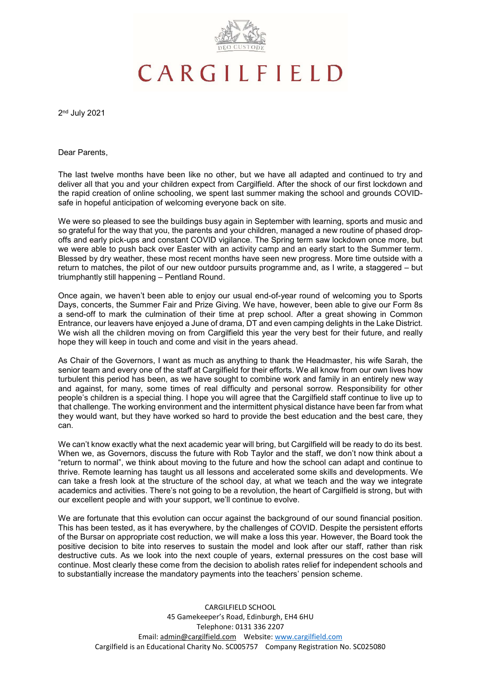

# CARGILFIELD

2 nd July 2021

Dear Parents,

The last twelve months have been like no other, but we have all adapted and continued to try and deliver all that you and your children expect from Cargilfield. After the shock of our first lockdown and the rapid creation of online schooling, we spent last summer making the school and grounds COVIDsafe in hopeful anticipation of welcoming everyone back on site.

We were so pleased to see the buildings busy again in September with learning, sports and music and so grateful for the way that you, the parents and your children, managed a new routine of phased dropoffs and early pick-ups and constant COVID vigilance. The Spring term saw lockdown once more, but we were able to push back over Easter with an activity camp and an early start to the Summer term. Blessed by dry weather, these most recent months have seen new progress. More time outside with a return to matches, the pilot of our new outdoor pursuits programme and, as I write, a staggered – but triumphantly still happening – Pentland Round.

Once again, we haven't been able to enjoy our usual end-of-year round of welcoming you to Sports Days, concerts, the Summer Fair and Prize Giving. We have, however, been able to give our Form 8s a send-off to mark the culmination of their time at prep school. After a great showing in Common Entrance, our leavers have enjoyed a June of drama, DT and even camping delights in the Lake District. We wish all the children moving on from Cargilfield this year the very best for their future, and really hope they will keep in touch and come and visit in the years ahead.

As Chair of the Governors, I want as much as anything to thank the Headmaster, his wife Sarah, the senior team and every one of the staff at Cargilfield for their efforts. We all know from our own lives how turbulent this period has been, as we have sought to combine work and family in an entirely new way and against, for many, some times of real difficulty and personal sorrow. Responsibility for other people's children is a special thing. I hope you will agree that the Cargilfield staff continue to live up to that challenge. The working environment and the intermittent physical distance have been far from what they would want, but they have worked so hard to provide the best education and the best care, they can.

We can't know exactly what the next academic year will bring, but Cargilfield will be ready to do its best. When we, as Governors, discuss the future with Rob Taylor and the staff, we don't now think about a "return to normal", we think about moving to the future and how the school can adapt and continue to thrive. Remote learning has taught us all lessons and accelerated some skills and developments. We can take a fresh look at the structure of the school day, at what we teach and the way we integrate academics and activities. There's not going to be a revolution, the heart of Cargilfield is strong, but with our excellent people and with your support, we'll continue to evolve.

We are fortunate that this evolution can occur against the background of our sound financial position. This has been tested, as it has everywhere, by the challenges of COVID. Despite the persistent efforts of the Bursar on appropriate cost reduction, we will make a loss this year. However, the Board took the positive decision to bite into reserves to sustain the model and look after our staff, rather than risk destructive cuts. As we look into the next couple of years, external pressures on the cost base will continue. Most clearly these come from the decision to abolish rates relief for independent schools and to substantially increase the mandatory payments into the teachers' pension scheme.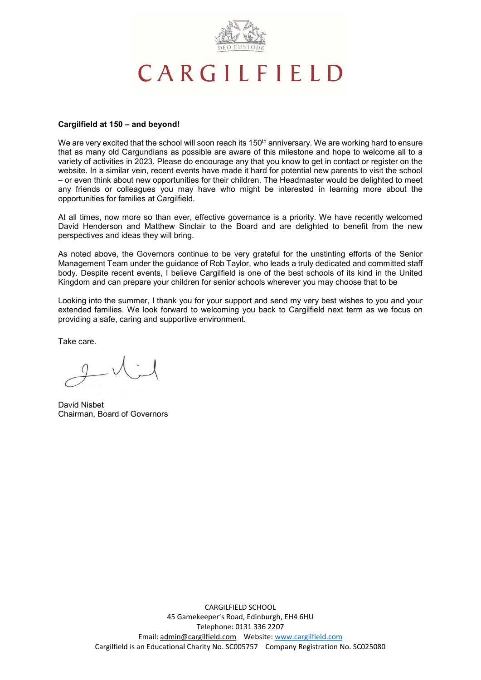

# CARGILFIELD

#### Cargilfield at 150 – and beyond!

We are very excited that the school will soon reach its 150<sup>th</sup> anniversary. We are working hard to ensure that as many old Cargundians as possible are aware of this milestone and hope to welcome all to a variety of activities in 2023. Please do encourage any that you know to get in contact or register on the website. In a similar vein, recent events have made it hard for potential new parents to visit the school – or even think about new opportunities for their children. The Headmaster would be delighted to meet any friends or colleagues you may have who might be interested in learning more about the opportunities for families at Cargilfield.

At all times, now more so than ever, effective governance is a priority. We have recently welcomed David Henderson and Matthew Sinclair to the Board and are delighted to benefit from the new perspectives and ideas they will bring.

As noted above, the Governors continue to be very grateful for the unstinting efforts of the Senior Management Team under the guidance of Rob Taylor, who leads a truly dedicated and committed staff body. Despite recent events, I believe Cargilfield is one of the best schools of its kind in the United Kingdom and can prepare your children for senior schools wherever you may choose that to be

Looking into the summer, I thank you for your support and send my very best wishes to you and your extended families. We look forward to welcoming you back to Cargilfield next term as we focus on providing a safe, caring and supportive environment.

Take care.

David Nisbet Chairman, Board of Governors